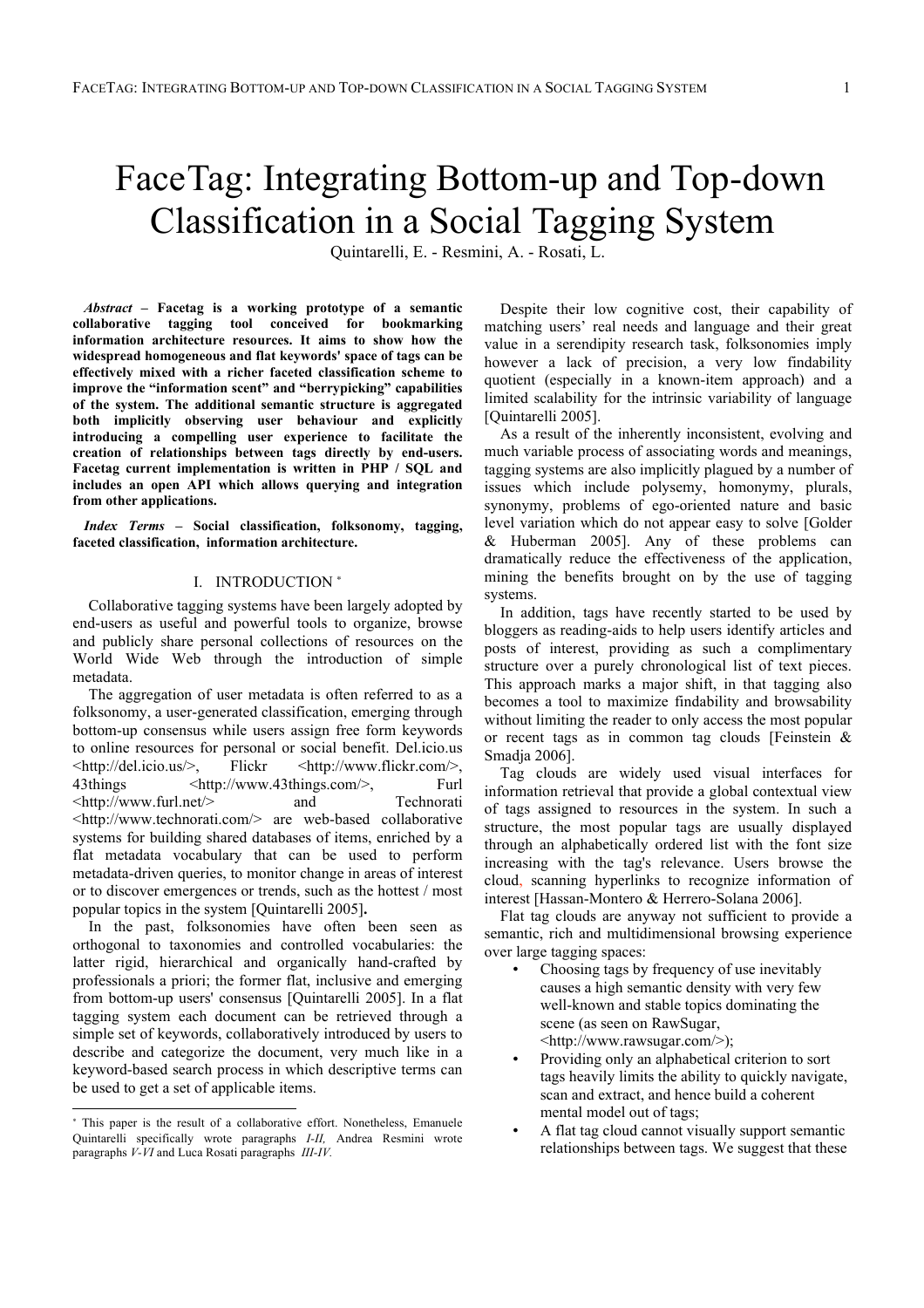# FaceTag: Integrating Bottom-up and Top-down Classification in a Social Tagging System

Quintarelli, E. - Resmini, A. - Rosati, L.

*Abstract* **– Facetag is a working prototype of a semantic collaborative tagging tool conceived for bookmarking information architecture resources. It aims to show how the widespread homogeneous and flat keywords' space of tags can be effectively mixed with a richer faceted classification scheme to improve the "information scent" and "berrypicking" capabilities of the system. The additional semantic structure is aggregated both implicitly observing user behaviour and explicitly introducing a compelling user experience to facilitate the creation of relationships between tags directly by end-users. Facetag current implementation is written in PHP / SQL and includes an open API which allows querying and integration from other applications.**

*Index Terms* **– Social classification, folksonomy, tagging, faceted classification, information architecture.**

## I. INTRODUCTION <sup>∗</sup>

Collaborative tagging systems have been largely adopted by end-users as useful and powerful tools to organize, browse and publicly share personal collections of resources on the World Wide Web through the introduction of simple metadata.

The aggregation of user metadata is often referred to as a folksonomy, a user-generated classification, emerging through bottom-up consensus while users assign free form keywords to online resources for personal or social benefit. Del.icio.us <http://del.icio.us/>, Flickr <http://www.flickr.com/>, 43things <http://www.43things.com/>, Furl <http://www.furl.net/> and Technorati <http://www.technorati.com/> are web-based collaborative systems for building shared databases of items, enriched by a flat metadata vocabulary that can be used to perform metadata-driven queries, to monitor change in areas of interest or to discover emergences or trends, such as the hottest / most popular topics in the system [Quintarelli 2005]**.**

In the past, folksonomies have often been seen as orthogonal to taxonomies and controlled vocabularies: the latter rigid, hierarchical and organically hand-crafted by professionals a priori; the former flat, inclusive and emerging from bottom-up users' consensus [Quintarelli 2005]. In a flat tagging system each document can be retrieved through a simple set of keywords, collaboratively introduced by users to describe and categorize the document, very much like in a keyword-based search process in which descriptive terms can be used to get a set of applicable items.

-

Despite their low cognitive cost, their capability of matching users' real needs and language and their great value in a serendipity research task, folksonomies imply however a lack of precision, a very low findability quotient (especially in a known-item approach) and a limited scalability for the intrinsic variability of language [Quintarelli 2005].

As a result of the inherently inconsistent, evolving and much variable process of associating words and meanings, tagging systems are also implicitly plagued by a number of issues which include polysemy, homonymy, plurals, synonymy, problems of ego-oriented nature and basic level variation which do not appear easy to solve [Golder & Huberman 2005]. Any of these problems can dramatically reduce the effectiveness of the application, mining the benefits brought on by the use of tagging systems.

In addition, tags have recently started to be used by bloggers as reading-aids to help users identify articles and posts of interest, providing as such a complimentary structure over a purely chronological list of text pieces. This approach marks a major shift, in that tagging also becomes a tool to maximize findability and browsability without limiting the reader to only access the most popular or recent tags as in common tag clouds [Feinstein & Smadja 2006].

Tag clouds are widely used visual interfaces for information retrieval that provide a global contextual view of tags assigned to resources in the system. In such a structure, the most popular tags are usually displayed through an alphabetically ordered list with the font size increasing with the tag's relevance. Users browse the cloud, scanning hyperlinks to recognize information of interest [Hassan-Montero & Herrero-Solana 2006].

Flat tag clouds are anyway not sufficient to provide a semantic, rich and multidimensional browsing experience over large tagging spaces:

- Choosing tags by frequency of use inevitably causes a high semantic density with very few well-known and stable topics dominating the scene (as seen on RawSugar, <http://www.rawsugar.com/>);
- Providing only an alphabetical criterion to sort tags heavily limits the ability to quickly navigate, scan and extract, and hence build a coherent mental model out of tags;
- A flat tag cloud cannot visually support semantic relationships between tags. We suggest that these

<sup>∗</sup> This paper is the result of a collaborative effort. Nonetheless, Emanuele Quintarelli specifically wrote paragraphs *I-II,* Andrea Resmini wrote paragraphs *V-VI* and Luca Rosati paragraphs *III-IV.*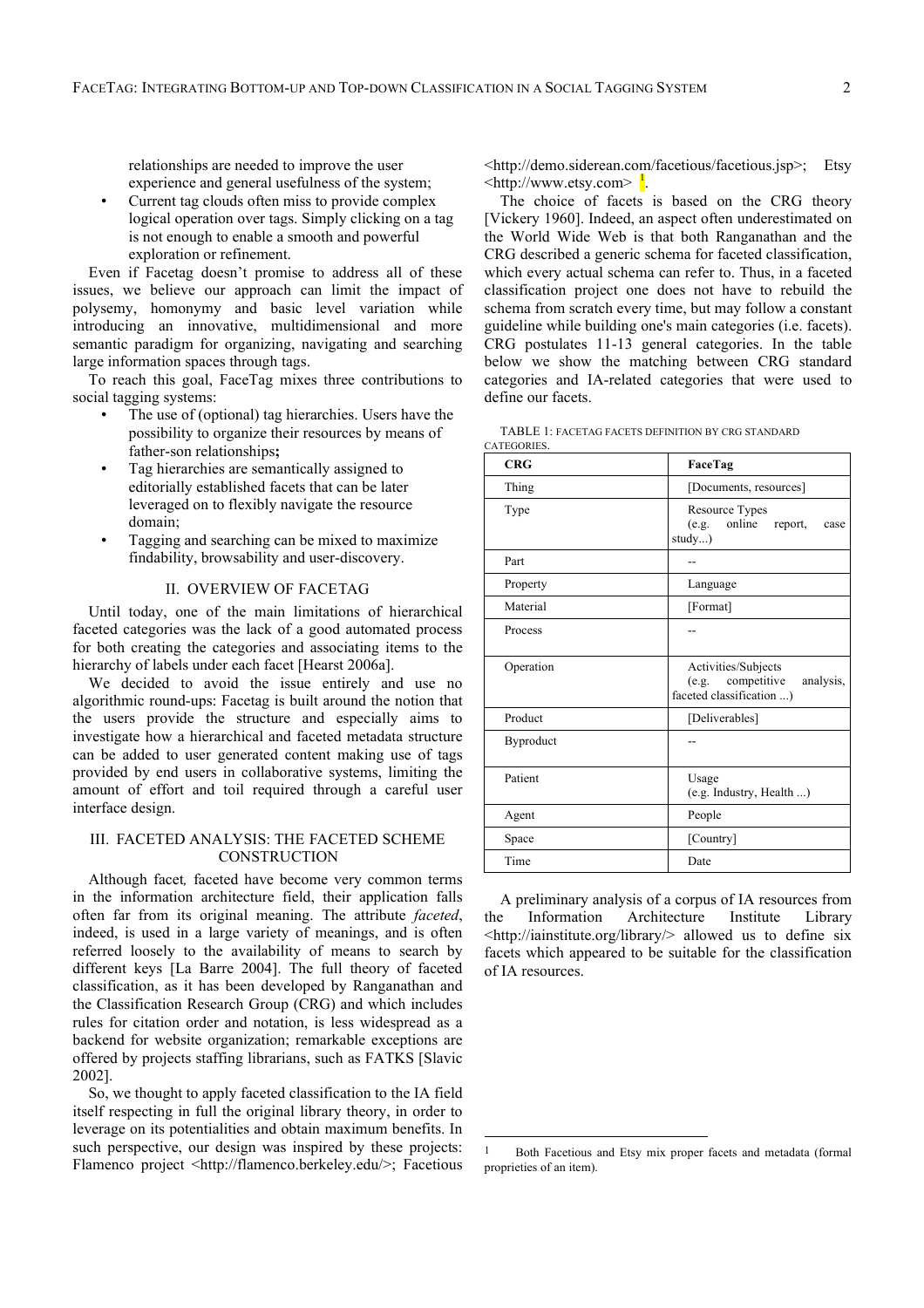relationships are needed to improve the user experience and general usefulness of the system;

• Current tag clouds often miss to provide complex logical operation over tags. Simply clicking on a tag is not enough to enable a smooth and powerful exploration or refinement.

Even if Facetag doesn't promise to address all of these issues, we believe our approach can limit the impact of polysemy, homonymy and basic level variation while introducing an innovative, multidimensional and more semantic paradigm for organizing, navigating and searching large information spaces through tags.

To reach this goal, FaceTag mixes three contributions to social tagging systems:

- The use of (optional) tag hierarchies. Users have the possibility to organize their resources by means of father-son relationships**;**
- Tag hierarchies are semantically assigned to editorially established facets that can be later leveraged on to flexibly navigate the resource domain;
- Tagging and searching can be mixed to maximize findability, browsability and user-discovery.

# II. OVERVIEW OF FACETAG

Until today, one of the main limitations of hierarchical faceted categories was the lack of a good automated process for both creating the categories and associating items to the hierarchy of labels under each facet [Hearst 2006a].

We decided to avoid the issue entirely and use no algorithmic round-ups: Facetag is built around the notion that the users provide the structure and especially aims to investigate how a hierarchical and faceted metadata structure can be added to user generated content making use of tags provided by end users in collaborative systems, limiting the amount of effort and toil required through a careful user interface design.

# III. FACETED ANALYSIS: THE FACETED SCHEME **CONSTRUCTION**

Although facet*,* faceted have become very common terms in the information architecture field, their application falls often far from its original meaning. The attribute *faceted*, indeed, is used in a large variety of meanings, and is often referred loosely to the availability of means to search by different keys [La Barre 2004]. The full theory of faceted classification, as it has been developed by Ranganathan and the Classification Research Group (CRG) and which includes rules for citation order and notation, is less widespread as a backend for website organization; remarkable exceptions are offered by projects staffing librarians, such as FATKS [Slavic 2002].

So, we thought to apply faceted classification to the IA field itself respecting in full the original library theory, in order to leverage on its potentialities and obtain maximum benefits. In such perspective, our design was inspired by these projects: Flamenco project <http://flamenco.berkeley.edu/>; Facetious <http://demo.siderean.com/facetious/facetious.jsp>; Etsy  $\langle \text{http://www.etsy.com>} \frac{1}{\cdot} \rangle$ 

The choice of facets is based on the CRG theory [Vickery 1960]. Indeed, an aspect often underestimated on the World Wide Web is that both Ranganathan and the CRG described a generic schema for faceted classification, which every actual schema can refer to. Thus, in a faceted classification project one does not have to rebuild the schema from scratch every time, but may follow a constant guideline while building one's main categories (i.e. facets). CRG postulates 11-13 general categories. In the table below we show the matching between CRG standard categories and IA-related categories that were used to define our facets.

| TABLE 1: FACETAG FACETS DEFINITION BY CRG STANDARD |  |
|----------------------------------------------------|--|
| CATEGORIES.                                        |  |

| <b>CRG</b> | FaceTag                                                                           |
|------------|-----------------------------------------------------------------------------------|
| Thing      | [Documents, resources]                                                            |
| Type       | Resource Types<br>online<br>(e.g.<br>report,<br>case<br>study)                    |
| Part       |                                                                                   |
| Property   | Language                                                                          |
| Material   | [Format]                                                                          |
| Process    |                                                                                   |
| Operation  | Activities/Subjects<br>(e.g. competitive<br>analysis,<br>faceted classification ) |
| Product    | [Deliverables]                                                                    |
| Byproduct  |                                                                                   |
| Patient    | Usage<br>(e.g. Industry, Health )                                                 |
| Agent      | People                                                                            |
| Space      | [Country]                                                                         |
| Time       | Date                                                                              |

A preliminary analysis of a corpus of IA resources from the Information Architecture Institute Library <http://iainstitute.org/library/> allowed us to define six facets which appeared to be suitable for the classification of IA resources.

 <sup>1</sup> Both Facetious and Etsy mix proper facets and metadata (formal proprieties of an item).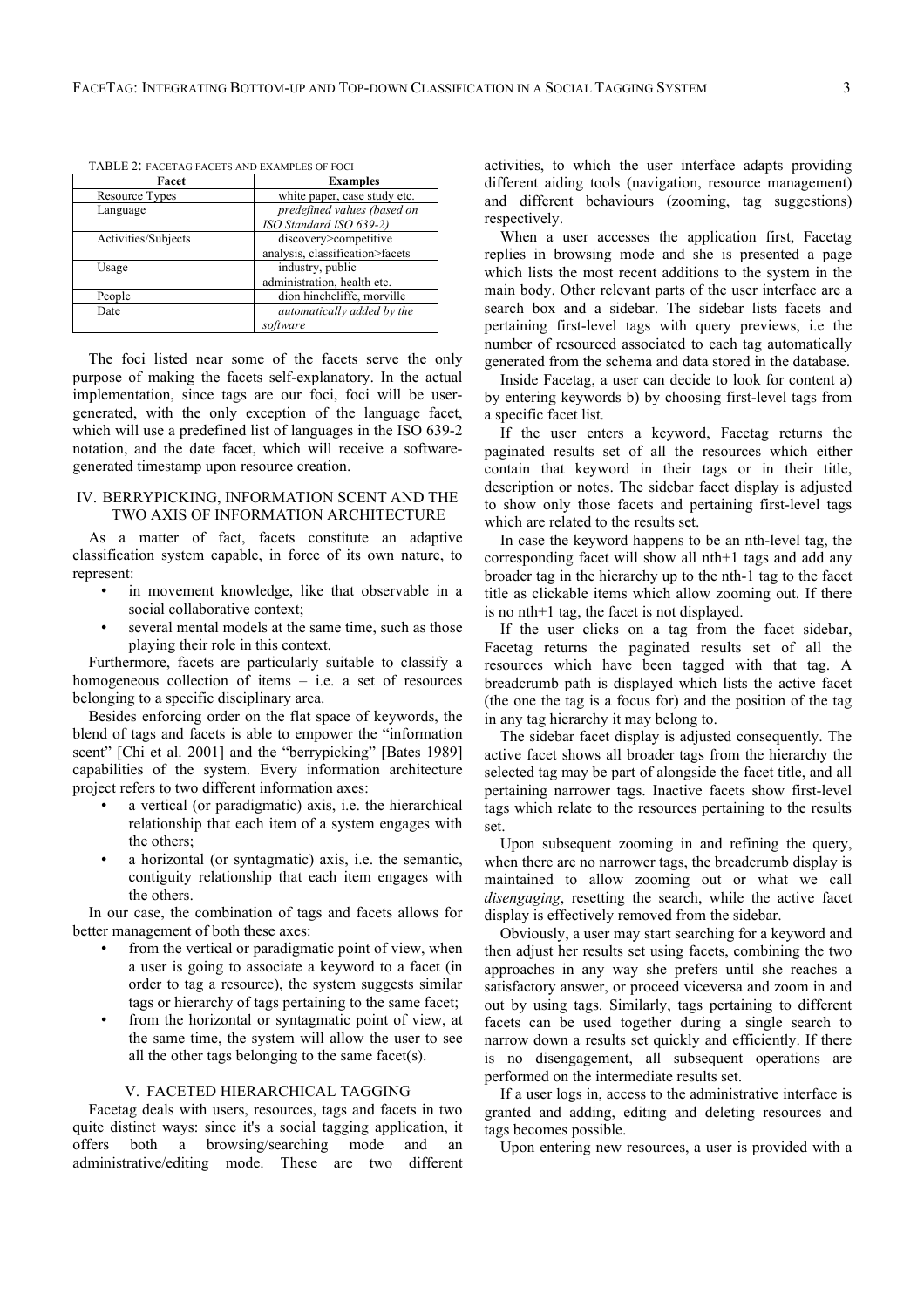| Facet               | <b>Examples</b>                 |  |
|---------------------|---------------------------------|--|
| Resource Types      | white paper, case study etc.    |  |
| Language            | predefined values (based on     |  |
|                     | ISO Standard ISO 639-2)         |  |
| Activities/Subjects | discovery>competitive           |  |
|                     | analysis, classification>facets |  |
| Usage               | industry, public                |  |
|                     | administration, health etc.     |  |
| People              | dion hinchcliffe, morville      |  |
| Date                | automatically added by the      |  |
|                     | software                        |  |

TABLE 2: FACETAG FACETS AND EXAMPLES OF FOCI

The foci listed near some of the facets serve the only purpose of making the facets self-explanatory. In the actual implementation, since tags are our foci, foci will be usergenerated, with the only exception of the language facet, which will use a predefined list of languages in the ISO 639-2 notation, and the date facet, which will receive a softwaregenerated timestamp upon resource creation.

## IV. BERRYPICKING, INFORMATION SCENT AND THE TWO AXIS OF INFORMATION ARCHITECTURE

As a matter of fact, facets constitute an adaptive classification system capable, in force of its own nature, to represent:

- in movement knowledge, like that observable in a social collaborative context;
- several mental models at the same time, such as those playing their role in this context.

Furthermore, facets are particularly suitable to classify a homogeneous collection of items – i.e. a set of resources belonging to a specific disciplinary area.

Besides enforcing order on the flat space of keywords, the blend of tags and facets is able to empower the "information scent" [Chi et al. 2001] and the "berrypicking" [Bates 1989] capabilities of the system. Every information architecture project refers to two different information axes:

- a vertical (or paradigmatic) axis, i.e. the hierarchical relationship that each item of a system engages with the others;
- a horizontal (or syntagmatic) axis, i.e. the semantic, contiguity relationship that each item engages with the others.

In our case, the combination of tags and facets allows for better management of both these axes:

- from the vertical or paradigmatic point of view, when a user is going to associate a keyword to a facet (in order to tag a resource), the system suggests similar tags or hierarchy of tags pertaining to the same facet;
- from the horizontal or syntagmatic point of view, at the same time, the system will allow the user to see all the other tags belonging to the same facet(s).

#### V. FACETED HIERARCHICAL TAGGING

Facetag deals with users, resources, tags and facets in two quite distinct ways: since it's a social tagging application, it offers both a browsing/searching mode and an administrative/editing mode. These are two different activities, to which the user interface adapts providing different aiding tools (navigation, resource management) and different behaviours (zooming, tag suggestions) respectively.

When a user accesses the application first, Facetag replies in browsing mode and she is presented a page which lists the most recent additions to the system in the main body. Other relevant parts of the user interface are a search box and a sidebar. The sidebar lists facets and pertaining first-level tags with query previews, i.e the number of resourced associated to each tag automatically generated from the schema and data stored in the database.

Inside Facetag, a user can decide to look for content a) by entering keywords b) by choosing first-level tags from a specific facet list.

If the user enters a keyword, Facetag returns the paginated results set of all the resources which either contain that keyword in their tags or in their title, description or notes. The sidebar facet display is adjusted to show only those facets and pertaining first-level tags which are related to the results set.

In case the keyword happens to be an nth-level tag, the corresponding facet will show all nth+1 tags and add any broader tag in the hierarchy up to the nth-1 tag to the facet title as clickable items which allow zooming out. If there is no nth+1 tag, the facet is not displayed.

If the user clicks on a tag from the facet sidebar, Facetag returns the paginated results set of all the resources which have been tagged with that tag. A breadcrumb path is displayed which lists the active facet (the one the tag is a focus for) and the position of the tag in any tag hierarchy it may belong to.

The sidebar facet display is adjusted consequently. The active facet shows all broader tags from the hierarchy the selected tag may be part of alongside the facet title, and all pertaining narrower tags. Inactive facets show first-level tags which relate to the resources pertaining to the results set.

Upon subsequent zooming in and refining the query, when there are no narrower tags, the breadcrumb display is maintained to allow zooming out or what we call *disengaging*, resetting the search, while the active facet display is effectively removed from the sidebar.

Obviously, a user may start searching for a keyword and then adjust her results set using facets, combining the two approaches in any way she prefers until she reaches a satisfactory answer, or proceed viceversa and zoom in and out by using tags. Similarly, tags pertaining to different facets can be used together during a single search to narrow down a results set quickly and efficiently. If there is no disengagement, all subsequent operations are performed on the intermediate results set.

If a user logs in, access to the administrative interface is granted and adding, editing and deleting resources and tags becomes possible.

Upon entering new resources, a user is provided with a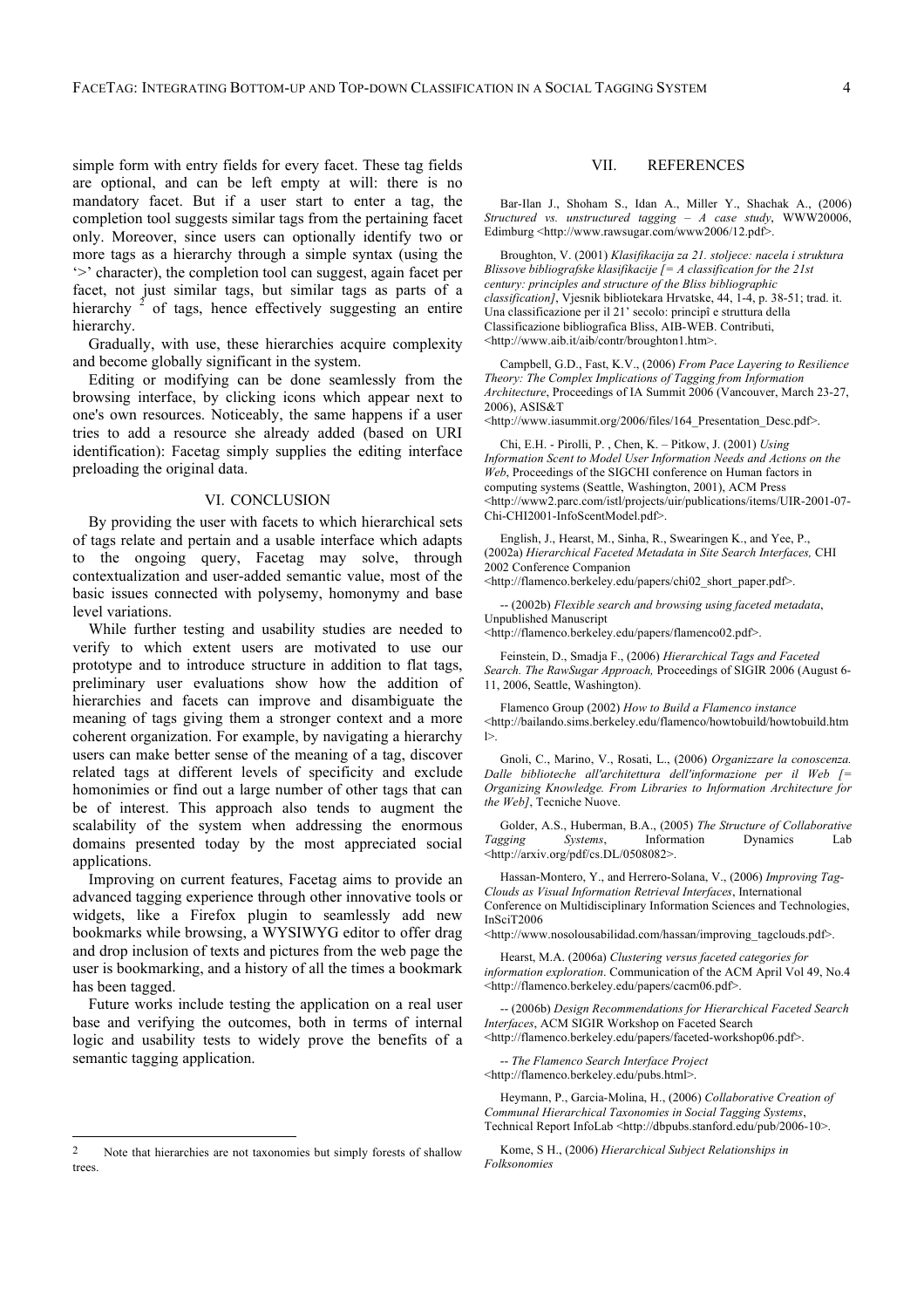simple form with entry fields for every facet. These tag fields are optional, and can be left empty at will: there is no mandatory facet. But if a user start to enter a tag, the completion tool suggests similar tags from the pertaining facet only. Moreover, since users can optionally identify two or more tags as a hierarchy through a simple syntax (using the '>' character), the completion tool can suggest, again facet per facet, not just similar tags, but similar tags as parts of a hierarchy  $2$  of tags, hence effectively suggesting an entire hierarchy.

Gradually, with use, these hierarchies acquire complexity and become globally significant in the system.

Editing or modifying can be done seamlessly from the browsing interface, by clicking icons which appear next to one's own resources. Noticeably, the same happens if a user tries to add a resource she already added (based on URI identification): Facetag simply supplies the editing interface preloading the original data.

#### VI. CONCLUSION

By providing the user with facets to which hierarchical sets of tags relate and pertain and a usable interface which adapts to the ongoing query, Facetag may solve, through contextualization and user-added semantic value, most of the basic issues connected with polysemy, homonymy and base level variations.

While further testing and usability studies are needed to verify to which extent users are motivated to use our prototype and to introduce structure in addition to flat tags, preliminary user evaluations show how the addition of hierarchies and facets can improve and disambiguate the meaning of tags giving them a stronger context and a more coherent organization. For example, by navigating a hierarchy users can make better sense of the meaning of a tag, discover related tags at different levels of specificity and exclude homonimies or find out a large number of other tags that can be of interest. This approach also tends to augment the scalability of the system when addressing the enormous domains presented today by the most appreciated social applications.

Improving on current features, Facetag aims to provide an advanced tagging experience through other innovative tools or widgets, like a Firefox plugin to seamlessly add new bookmarks while browsing, a WYSIWYG editor to offer drag and drop inclusion of texts and pictures from the web page the user is bookmarking, and a history of all the times a bookmark has been tagged.

Future works include testing the application on a real user base and verifying the outcomes, both in terms of internal logic and usability tests to widely prove the benefits of a semantic tagging application.

### VII. REFERENCES

Bar-Ilan J., Shoham S., Idan A., Miller Y., Shachak A., (2006) *Structured vs. unstructured tagging – A case study*, WWW20006, Edimburg <http://www.rawsugar.com/www2006/12.pdf>.

Broughton, V. (2001) *Klasifikacija za 21. stoljece: nacela i struktura Blissove bibliografske klasifikacije [= A classification for the 21st century: principles and structure of the Bliss bibliographic classification]*, Vjesnik bibliotekara Hrvatske, 44, 1-4, p. 38-51; trad. it. Una classificazione per il 21' secolo: principî e struttura della Classificazione bibliografica Bliss, AIB-WEB. Contributi, <http://www.aib.it/aib/contr/broughton1.htm>.

Campbell, G.D., Fast, K.V., (2006) *From Pace Layering to Resilience Theory: The Complex Implications of Tagging from Information Architecture*, Proceedings of IA Summit 2006 (Vancouver, March 23-27, 2006), ASIS&T

<http://www.iasummit.org/2006/files/164\_Presentation\_Desc.pdf>.

Chi, E.H. - Pirolli, P. , Chen, K. – Pitkow, J. (2001) *Using Information Scent to Model User Information Needs and Actions on the Web*, Proceedings of the SIGCHI conference on Human factors in computing systems (Seattle, Washington, 2001), ACM Press <http://www2.parc.com/istl/projects/uir/publications/items/UIR-2001-07- Chi-CHI2001-InfoScentModel.pdf>.

English, J., Hearst, M., Sinha, R., Swearingen K., and Yee, P., (2002a) *Hierarchical Faceted Metadata in Site Search Interfaces,* CHI 2002 Conference Companion

<http://flamenco.berkeley.edu/papers/chi02\_short\_paper.pdf>.

-- (2002b) *Flexible search and browsing using faceted metadata*, Unpublished Manuscript

<http://flamenco.berkeley.edu/papers/flamenco02.pdf>.

Feinstein, D., Smadja F., (2006) *Hierarchical Tags and Faceted Search. The RawSugar Approach,* Proceedings of SIGIR 2006 (August 6- 11, 2006, Seattle, Washington).

Flamenco Group (2002) *How to Build a Flamenco instance* <http://bailando.sims.berkeley.edu/flamenco/howtobuild/howtobuild.htm  $\geq$ 

Gnoli, C., Marino, V., Rosati, L., (2006) *Organizzare la conoscenza. Dalle biblioteche all'architettura dell'informazione per il Web [= Organizing Knowledge. From Libraries to Information Architecture for the Web]*, Tecniche Nuove.

Golder, A.S., Huberman, B.A., (2005) *The Structure of Collaborative Tagging Systems*, Information Dynamics Lab <http://arxiv.org/pdf/cs.DL/0508082>.

Hassan-Montero, Y., and Herrero-Solana, V., (2006) *Improving Tag-Clouds as Visual Information Retrieval Interfaces*, International Conference on Multidisciplinary Information Sciences and Technologies, InSciT2006

<http://www.nosolousabilidad.com/hassan/improving\_tagclouds.pdf>.

Hearst, M.A. (2006a) *Clustering versus faceted categories for information exploration*. Communication of the ACM April Vol 49, No.4 <http://flamenco.berkeley.edu/papers/cacm06.pdf>.

-- (2006b) *Design Recommendations for Hierarchical Faceted Search Interfaces*, ACM SIGIR Workshop on Faceted Search <http://flamenco.berkeley.edu/papers/faceted-workshop06.pdf>.

-- *The Flamenco Search Interface Project* <http://flamenco.berkeley.edu/pubs.html>.

Heymann, P., Garcia-Molina, H., (2006) *Collaborative Creation of Communal Hierarchical Taxonomies in Social Tagging Systems*, Technical Report InfoLab <http://dbpubs.stanford.edu/pub/2006-10>.

Kome, S H., (2006) *Hierarchical Subject Relationships in Folksonomies*

 <sup>2</sup> Note that hierarchies are not taxonomies but simply forests of shallow trees.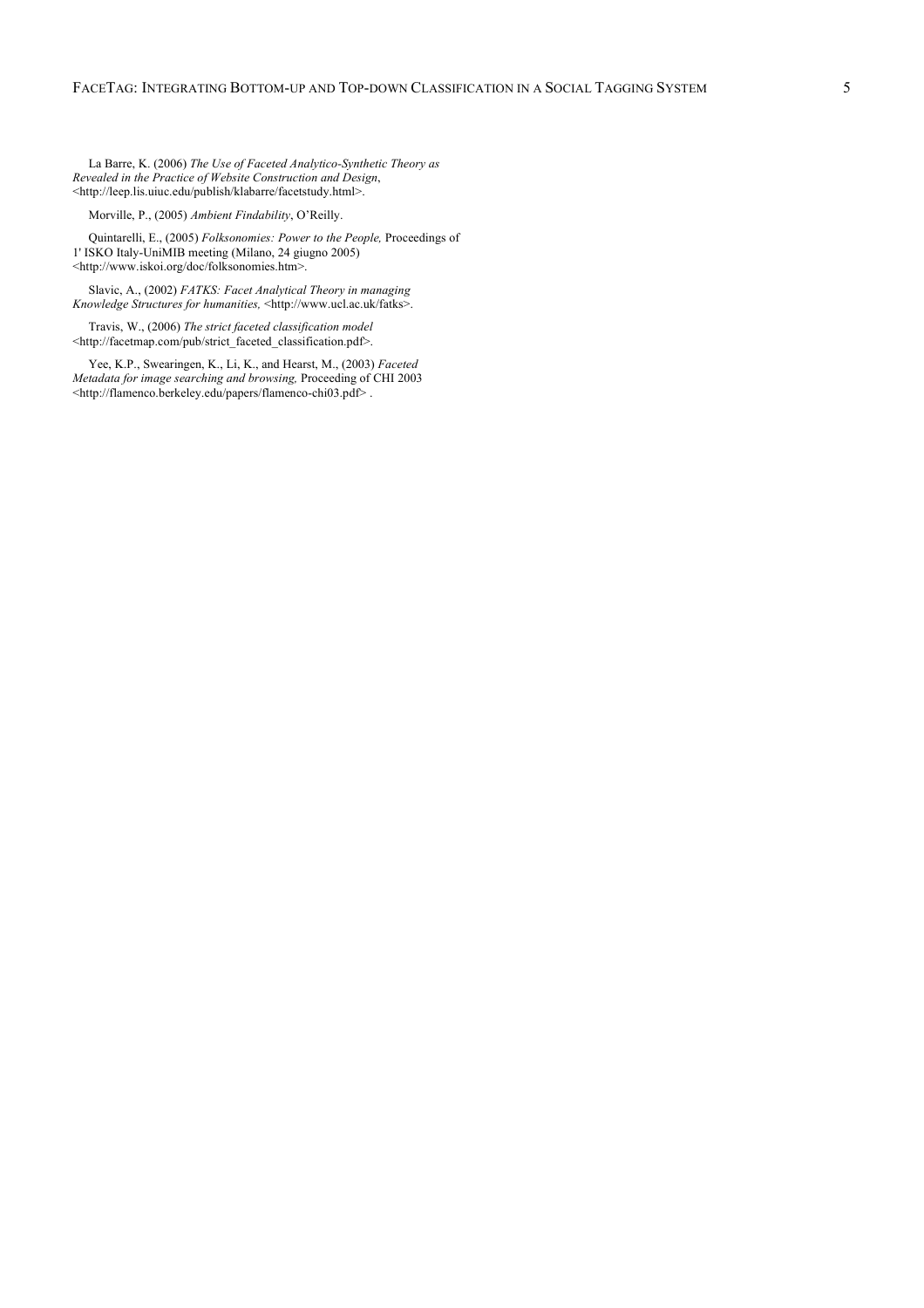La Barre, K. (2006) *The Use of Faceted Analytico-Synthetic Theory as Revealed in the Practice of Website Construction and Design*, <http://leep.lis.uiuc.edu/publish/klabarre/facetstudy.html>.

Morville, P., (2005) *Ambient Findability*, O'Reilly.

Quintarelli, E., (2005) *Folksonomies: Power to the People,* Proceedings of 1' ISKO Italy-UniMIB meeting (Milano, 24 giugno 2005) <http://www.iskoi.org/doc/folksonomies.htm>.

Slavic, A., (2002) *FATKS: Facet Analytical Theory in managing Knowledge Structures for humanities,* <http://www.ucl.ac.uk/fatks>.

Travis, W., (2006) *The strict faceted classification model* <http://facetmap.com/pub/strict\_faceted\_classification.pdf>.

Yee, K.P., Swearingen, K., Li, K., and Hearst, M., (2003) *Faceted Metadata for image searching and browsing,* Proceeding of CHI 2003 <http://flamenco.berkeley.edu/papers/flamenco-chi03.pdf> .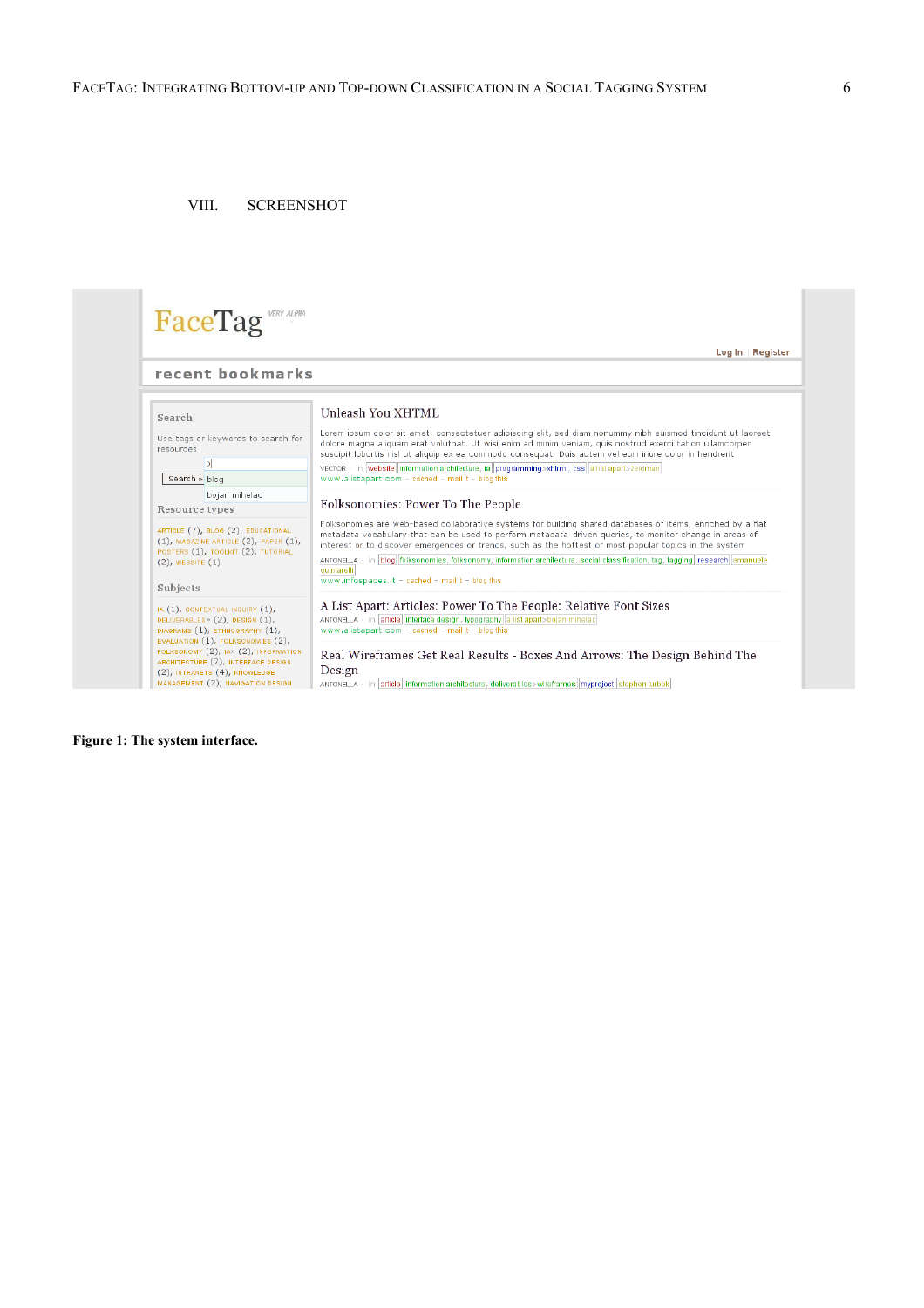# VIII. SCREENSHOT

| recent bookmarks                                                                                                                                                                      |                                                                                                                                                                                                                                                                                                                                     |
|---------------------------------------------------------------------------------------------------------------------------------------------------------------------------------------|-------------------------------------------------------------------------------------------------------------------------------------------------------------------------------------------------------------------------------------------------------------------------------------------------------------------------------------|
| Search                                                                                                                                                                                | Unleash You XHTML                                                                                                                                                                                                                                                                                                                   |
| Use tags or keywords to search for<br><b>resources</b>                                                                                                                                | Lorem ipsum dolor sit amet, consectetuer adipiscing elit, sed diam nonummy nibh euismod tincidunt ut laoreet<br>dolore magna aliquam erat volutpat. Ut wisi enim ad minim veniam, quis nostrud exerci tation ullamcorper<br>suscipit lobortis nisl ut aliquip ex ea commodo consequat. Duis autem vel eum iriure dolor in hendrerit |
| $\mathbf b$<br>Search » blog                                                                                                                                                          | VECTOR · in website information architecture, ia programming>xhtrml, css a list apart>zeldman<br>www.alistapart.com - cached - mail it - blog this                                                                                                                                                                                  |
| bojan mihelac<br>Resource types                                                                                                                                                       | Folksonomies: Power To The People                                                                                                                                                                                                                                                                                                   |
| ARTICLE (7), BLOG (2), EDUCATIONAL<br>$(1)$ , MAGAZINE ARTICLE $(2)$ , PAPER $(1)$ ,<br>POSTERS (1), TOOLKIT (2), TUTORIAL                                                            | Folksonomies are web-based collaborative systems for building shared databases of items, enriched by a flat<br>metadata vocabulary that can be used to perform metadata-driven queries, to monitor change in areas of<br>interest or to discover emergences or trends, such as the hottest or most popular topics in the system     |
| $(2)$ , WEBSITE $(1)$<br>Subjects                                                                                                                                                     | ANTONELLA · in blog folksonomies, folksonomy, information architecture, social classification, tag, tagging research emanuele<br>quintarelli<br>www.infospaces.it - cached - mail it - blog this                                                                                                                                    |
| IA (1), CONTEXTUAL INQUIRY (1),<br>DELIVERABLES» (2), DESIGN (1),<br>DIAGRAMS (1), ETHNOGRAPHY (1),                                                                                   | A List Apart: Articles: Power To The People: Relative Font Sizes<br>ANTONELLA · in article interface design, typography a list apart>bojan mihelac<br>www.alistapart.com - cached - mail it - blog this                                                                                                                             |
| EVALUATION (1), FOLKSONOMIES (2),<br>FOLKSONOMY (2), IA» (2), INFORMATION<br>ARCHITECTURE (7), INTERFACE DESIGN<br>(2), INTRANETS (4), KNOWLEDGE<br>MANAGEMENT (2), NAVIGATION DESIGN | Real Wireframes Get Real Results - Boxes And Arrows: The Design Behind The<br>Design<br>ANTONELLA · in article information architecture, deliverables>wireframes myproject stephen turbek                                                                                                                                           |

# **Figure 1: The system interface.**